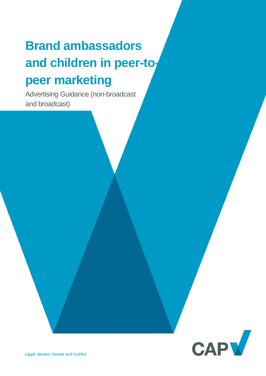# **Brand ambassadors**  and children in peer-to**peer marketing**

Advertising Guidance (non-broadcast and broadcast)

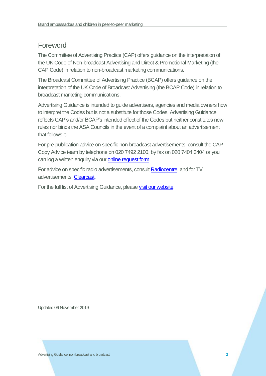# Foreword

The Committee of Advertising Practice (CAP) offers guidance on the interpretation of the UK Code of Non-broadcast Advertising and Direct & Promotional Marketing (the CAP Code) in relation to non-broadcast marketing communications.

The Broadcast Committee of Advertising Practice (BCAP) offers guidance on the interpretation of the UK Code of Broadcast Advertising (the BCAP Code) in relation to broadcast marketing communications.

Advertising Guidance is intended to guide advertisers, agencies and media owners how to interpret the Codes but is not a substitute for those Codes. Advertising Guidance reflects CAP's and/or BCAP's intended effect of the Codes but neither constitutes new rules nor binds the ASA Councils in the event of a complaint about an advertisement that follows it.

For pre-publication advice on specific non-broadcast advertisements, consult the CAP Copy Advice team by telephone on 020 7492 2100, by fax on 020 7404 3404 or you can log a written enquiry via our [online request form.](https://www.asa.org.uk/advice-and-resources/bespoke-copy-advice.html)

For advice on specific radio advertisements, consult [Radiocentre,](https://www.radiocentre.org/clearance/) and for TV advertisements, [Clearcast.](http://www.clearcast.co.uk/)

For the full list of Advertising Guidance, please [visit our website.](https://www.asa.org.uk/advice-and-resources/resource-library/advertising-guidance.html)

Updated 06 November 2019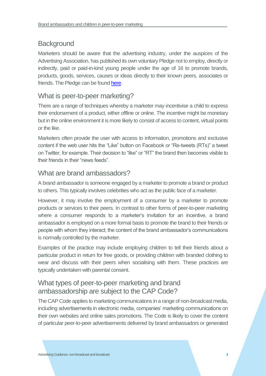# **Background**

Marketers should be aware that the advertising industry, under the auspices of the Advertising Association, has published its own voluntary Pledge not to employ, directly or indirectly, paid or paid-in-kind young people under the age of 16 to promote brands, products, goods, services, causes or ideas directly to their known peers, associates or friends. The Pledge can be foun[d here.](http://www.adassoc.org.uk/wp-content/uploads/2015/03/Brand-Ambassadors-and-Peer-to-Peer-Marketing-Pledge.pdf)

## What is peer-to-peer marketing?

There are a range of techniques whereby a marketer may incentivise a child to express their endorsement of a product, either offline or online. The incentive might be monetary but in the online environment it is more likely to consist of access to content, virtual points or the like.

Marketers often provide the user with access to information, promotions and exclusive content if the web user hits the "Like" button on Facebook or "Re-tweets (RTs)" a tweet on Twitter, for example. Their decision to "like" or "RT" the brand then becomes visible to their friends in their "news feeds".

## What are brand ambassadors?

A brand ambassador is someone engaged by a marketer to promote a brand or product to others. This typically involves celebrities who act as the public face of a marketer.

However, it may involve the employment of a consumer by a marketer to promote products or services to their peers. In contrast to other forms of peer-to-peer marketing where a consumer responds to a marketer's invitation for an incentive, a brand ambassador is employed on a more formal basis to promote the brand to their friends or people with whom they interact; the content of the brand ambassador's communications is normally controlled by the marketer.

Examples of the practice may include employing children to tell their friends about a particular product in return for free goods, or providing children with branded clothing to wear and discuss with their peers when socialising with them. These practices are typically undertaken with parental consent.

## What types of peer-to-peer marketing and brand ambassadorship are subject to the CAP Code?

The CAP Code applies to marketing communications in a range of non-broadcast media, including advertisements in electronic media, companies' marketing communications on their own websites and online sales promotions. The Code is likely to cover the content of particular peer-to-peer advertisements delivered by brand ambassadors or generated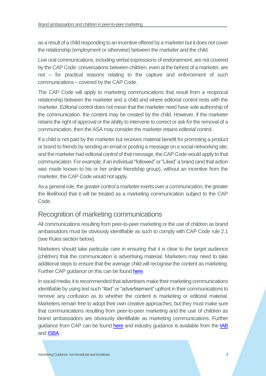as a result of a child responding to an incentive offered by a marketer but it does not cover the relationship (employment or otherwise) between the marketer and the child.

Live oral communications, including verbal expressions of endorsement, are not covered by the CAP Code: conversations between children, even at the behest of a marketer, are not – for practical reasons relating to the capture and enforcement of such communications – covered by the CAP Code.

The CAP Code will apply to marketing communications that result from a reciprocal relationship between the marketer and a child and where editorial control rests with the marketer. Editorial control does not mean that the marketer need have sole authorship of the communication: the content may be created by the child. However, if the marketer retains the right of approval or the ability to intervene to correct or ask for the removal of a communication, then the ASA may consider the marketer retains editorial control.

If a child is not paid by the marketer but receives material benefit for promoting a product or brand to friends by sending an email or posting a message on a social networking site, and the marketer had editorial control of that message, the CAP Code would apply to that communication. For example, if an individual "followed" or "Liked" a brand (and that action was made known to his or her online friendship group), without an incentive from the marketer, the CAP Code would not apply.

As a general rule, the greater control a marketer exerts over a communication, the greater the likelihood that it will be treated as a marketing communication subject to the CAP Code.

#### Recognition of marketing communications

All communications resulting from peer-to-peer marketing or the use of children as brand ambassadors must be obviously identifiable as such to comply with CAP Code rule 2.1 (see Rules section below).

Marketers should take particular care in ensuring that it is clear to the target audience (children) that the communication is advertising material. Marketers may need to take additional steps to ensure that the average child will recognise the content as marketing. Further CAP guidance on this can be found [here.](https://www.asa.org.uk/resource/recognition-of-advertising-online-marketing-to-children-under-12.html)

In social media, it is recommended that advertisers make their marketing communications identifiable by using text such "#ad" or "advertisement" upfront in their communications to remove any confusion as to whether the content is marketing or editorial material. Marketers remain free to adopt their own creative approaches, but they must make sure that communications resulting from peer-to-peer marketing and the use of children as brand ambassadors are obviously identifiable as marketing communications. Further guidance from CAP can be found [here](https://www.asa.org.uk/resource/influencers-guide.html) and industry guidance is available from the [IAB](https://www.iabuk.com/sites/default/files/public_files/IAB%20UK%20content%20and%20native%20disclosure%20guidelines%20v.2%20%282018%29.pdf) and **ISBA**.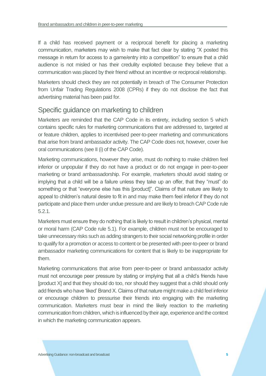If a child has received payment or a reciprocal benefit for placing a marketing communication, marketers may wish to make that fact clear by stating "X posted this message in return for access to a game/entry into a competition" to ensure that a child audience is not misled or has their credulity exploited because they believe that a communication was placed by their friend without an incentive or reciprocal relationship.

Marketers should check they are not potentially in breach of The Consumer Protection from Unfair Trading Regulations 2008 (CPRs) if they do not disclose the fact that advertising material has been paid for.

#### Specific guidance on marketing to children

Marketers are reminded that the CAP Code in its entirety, including section 5 which contains specific rules for marketing communications that are addressed to, targeted at or feature children, applies to incentivised peer-to-peer marketing and communications that arise from brand ambassador activity. The CAP Code does not, however, cover live oral communications (see II (i) of the CAP Code).

Marketing communications, however they arise, must do nothing to make children feel inferior or unpopular if they do not have a product or do not engage in peer-to-peer marketing or brand ambassadorship. For example, marketers should avoid stating or implying that a child will be a failure unless they take up an offer, that they "must" do something or that "everyone else has this [product]". Claims of that nature are likely to appeal to children's natural desire to fit in and may make them feel inferior if they do not participate and place them under undue pressure and are likely to breach CAP Code rule 5.2.1.

Marketers must ensure they do nothing that is likely to result in children's physical, mental or moral harm (CAP Code rule 5.1). For example, children must not be encouraged to take unnecessary risks such as adding strangers to their social networking profile in order to qualify for a promotion or access to content or be presented with peer-to-peer or brand ambassador marketing communications for content that is likely to be inappropriate for them.

Marketing communications that arise from peer-to-peer or brand ambassador activity must not encourage peer pressure by stating or implying that all a child's friends have [product X] and that they should do too, nor should they suggest that a child should only add friends who have 'liked' Brand X. Claims of that nature might make a child feel inferior or encourage children to pressurise their friends into engaging with the marketing communication. Marketers must bear in mind the likely reaction to the marketing communication from children, which is influenced by their age, experience and the context in which the marketing communication appears.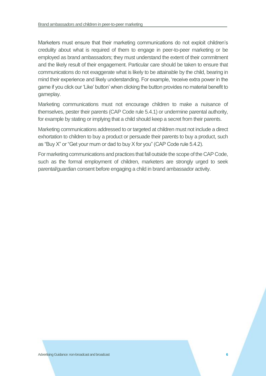Marketers must ensure that their marketing communications do not exploit children's credulity about what is required of them to engage in peer-to-peer marketing or be employed as brand ambassadors; they must understand the extent of their commitment and the likely result of their engagement. Particular care should be taken to ensure that communications do not exaggerate what is likely to be attainable by the child, bearing in mind their experience and likely understanding. For example, 'receive extra power in the game if you click our 'Like' button' when clicking the button provides no material benefit to gameplay.

Marketing communications must not encourage children to make a nuisance of themselves, pester their parents (CAP Code rule 5.4.1) or undermine parental authority, for example by stating or implying that a child should keep a secret from their parents.

Marketing communications addressed to or targeted at children must not include a direct exhortation to children to buy a product or persuade their parents to buy a product, such as "Buy X" or "Get your mum or dad to buy X for you" (CAP Code rule 5.4.2).

For marketing communications and practices that fall outside the scope of the CAP Code, such as the formal employment of children, marketers are strongly urged to seek parental/guardian consent before engaging a child in brand ambassador activity.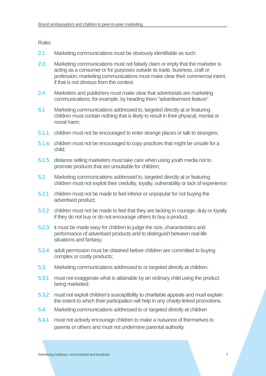Rules

- 2.1 Marketing communications must be obviously identifiable as such.
- 2.3 Marketing communications must not falsely claim or imply that the marketer is acting as a consumer or for purposes outside its trade, business, craft or profession; marketing communications must make clear their commercial intent, if that is not obvious from the context.
- 2.4 Marketers and publishers must make clear that advertorials are marketing communications; for example, by heading them "advertisement feature".
- 5.1 Marketing communications addressed to, targeted directly at or featuring children must contain nothing that is likely to result in their physical, mental or moral harm:
- 5.1.1 children must not be encouraged to enter strange places or talk to strangers;
- 5.1.4 children must not be encouraged to copy practices that might be unsafe for a child;
- 5.1.5 distance selling marketers must take care when using youth media not to promote products that are unsuitable for children;
- 5.2 Marketing communications addressed to, targeted directly at or featuring children must not exploit their credulity, loyalty, vulnerability or lack of experience:
- 5.2.1 children must not be made to feel inferior or unpopular for not buying the advertised product;
- 5.2.2 children must not be made to feel that they are lacking in courage, duty or loyalty if they do not buy or do not encourage others to buy a product;
- 5.2.3 it must be made easy for children to judge the size, characteristics and performance of advertised products and to distinguish between real-life situations and fantasy;
- 5.2.4 adult permission must be obtained before children are committed to buying complex or costly products;
- 5.3 Marketing communications addressed to or targeted directly at children:
- 5.3.1 must not exaggerate what is attainable by an ordinary child using the product being marketed;
- 5.3.2 must not exploit children's susceptibility to charitable appeals and must explain the extent to which their participation will help in any charity-linked promotions.
- 5.4 Marketing communications addressed to or targeted directly at children
- 5.4.1 must not actively encourage children to make a nuisance of themselves to parents or others and must not undermine parental authority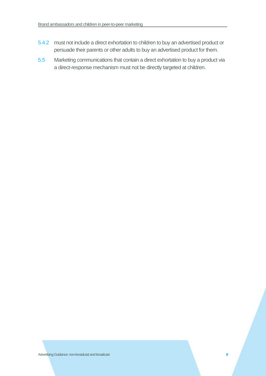- 5.4.2 must not include a direct exhortation to children to buy an advertised product or persuade their parents or other adults to buy an advertised product for them.
- 5.5 Marketing communications that contain a direct exhortation to buy a product via a direct-response mechanism must not be directly targeted at children.